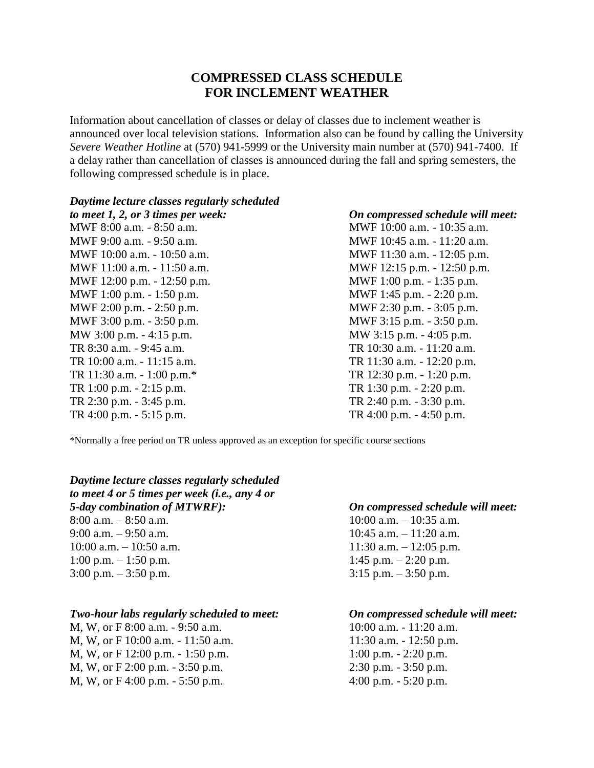# **COMPRESSED CLASS SCHEDULE FOR INCLEMENT WEATHER**

Information about cancellation of classes or delay of classes due to inclement weather is announced over local television stations. Information also can be found by calling the University *Severe Weather Hotline* at (570) 941-5999 or the University main number at (570) 941-7400. If a delay rather than cancellation of classes is announced during the fall and spring semesters, the following compressed schedule is in place.

### *Daytime lecture classes regularly scheduled*

MWF 12:00 p.m. - 12:50 p.m. MWF 1:00 p.m. - 1:35 p.m. MWF 1:00 p.m. - 1:50 p.m. m. MWF 2:00 p.m. - 2:50 p.m. MWF 2:30 p.m. - 3:05 p.m. MWF 3:00 p.m. - 3:50 p.m.  $MWF$  3:15 p.m. - 3:50 p.m. MW 3:00 p.m. - 4:15 p.m.  $MW$  3:15 p.m. - 4:05 p.m. TR 8:30 a.m. - 9:45 a.m. TR 10:30 a.m. - 11:20 a.m. TR 10:00 a.m. - 11:15 a.m. TR 11:30 a.m. - 12:20 p.m. TR 11:30 a.m. - 1:00 p.m.\* TR 12:30 p.m. - 1:20 p.m. TR 1:00 p.m. - 2:15 p.m. TR 1:30 p.m. - 2:20 p.m. TR 2:30 p.m. - 3:45 p.m. TR 2:40 p.m. - 3:30 p.m.

## *to meet 1, 2, or 3 times per week: On compressed schedule will meet:*

MWF 8:00 a.m. - 8:50 a.m. MWF 10:00 a.m. - 10:35 a.m. MWF 9:00 a.m. - 9:50 a.m. <br>MWF 10:45 a.m. - 11:20 a.m. MWF 10:00 a.m. - 10:50 a.m. MWF 11:30 a.m. - 12:05 p.m. MWF 11:00 a.m. - 11:50 a.m. MWF 12:15 p.m. - 12:50 p.m. TR 4:00 p.m. - 5:15 p.m. TR 4:00 p.m. - 4:50 p.m.

\*Normally a free period on TR unless approved as an exception for specific course sections

*Daytime lecture classes regularly scheduled to meet 4 or 5 times per week (i.e., any 4 or 5-day combination of MTWRF): On compressed schedule will meet:*  $8:00$  a.m.  $-8:50$  a.m.  $10:00$  a.m.  $-10:35$  a.m. 9:00 a.m.  $-9:50$  a.m.  $10:45$  a.m.  $-11:20$  a.m. 10:00 a.m.  $-10:50$  a.m.  $11:30$  a.m.  $-12:05$  p.m. 1:00 p.m.  $- 1:50$  p.m.  $- 1:50$  p.m.  $3:00 \text{ p.m.} - 3:50 \text{ p.m.}$ <br>3:15 p.m.  $- 3:50 \text{ p.m.}$ 

### *Two-hour labs regularly scheduled to meet: On compressed schedule will meet:*

M, W, or F 8:00 a.m. - 9:50 a.m. 10:00 a.m. - 11:20 a.m. M, W, or F 10:00 a.m. - 11:50 a.m. 11:50 a.m. 11:30 a.m. - 12:50 p.m. M, W, or F 12:00 p.m. - 1:50 p.m. 1:00 p.m. - 2:20 p.m. M, W, or F 2:00 p.m. - 3:50 p.m. 2:30 p.m. - 3:50 p.m. M, W, or F 4:00 p.m. - 5:50 p.m.  $4:00$  p.m. - 5:20 p.m.